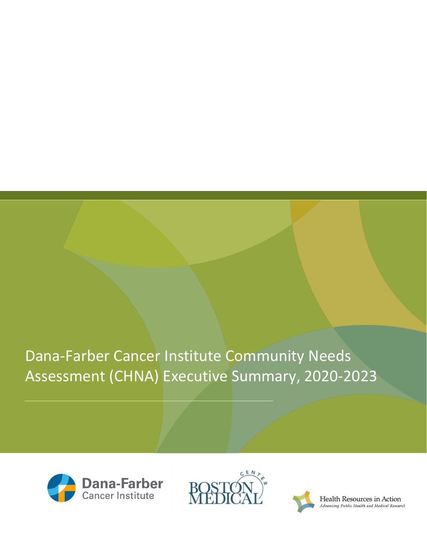Dana-Farber Cancer Institute Community Needs Assessment (CHNA) Executive Summary, 2020-2023







Health Resources in Action Advancing Public Health and Medical Research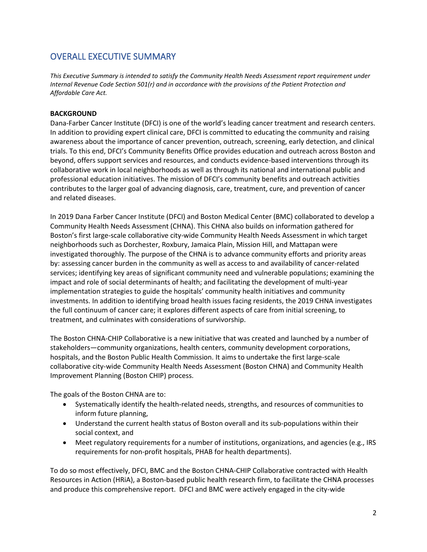# OVERALL EXECUTIVE SUMMARY

*This Executive Summary is intended to satisfy the Community Health Needs Assessment report requirement under Internal Revenue Code Section 501(r) and in accordance with the provisions of the Patient Protection and Affordable Care Act.*

# **BACKGROUND**

Dana-Farber Cancer Institute (DFCI) is one of the world's leading cancer treatment and research centers. In addition to providing expert clinical care, DFCI is committed to educating the community and raising awareness about the importance of cancer prevention, outreach, screening, early detection, and clinical trials. To this end, DFCI's Community Benefits Office provides education and outreach across Boston and beyond, offers support services and resources, and conducts evidence-based interventions through its collaborative work in local neighborhoods as well as through its national and international public and professional education initiatives. The mission of DFCI's community benefits and outreach activities contributes to the larger goal of advancing diagnosis, care, treatment, cure, and prevention of cancer and related diseases.

In 2019 Dana Farber Cancer Institute (DFCI) and Boston Medical Center (BMC) collaborated to develop a Community Health Needs Assessment (CHNA). This CHNA also builds on information gathered for Boston's first large-scale collaborative city-wide Community Health Needs Assessment in which target neighborhoods such as Dorchester, Roxbury, Jamaica Plain, Mission Hill, and Mattapan were investigated thoroughly. The purpose of the CHNA is to advance community efforts and priority areas by: assessing cancer burden in the community as well as access to and availability of cancer-related services; identifying key areas of significant community need and vulnerable populations; examining the impact and role of social determinants of health; and facilitating the development of multi-year implementation strategies to guide the hospitals' community health initiatives and community investments. In addition to identifying broad health issues facing residents, the 2019 CHNA investigates the full continuum of cancer care; it explores different aspects of care from initial screening, to treatment, and culminates with considerations of survivorship.

The Boston CHNA-CHIP Collaborative is a new initiative that was created and launched by a number of stakeholders—community organizations, health centers, community development corporations, hospitals, and the Boston Public Health Commission. It aims to undertake the first large-scale collaborative city-wide Community Health Needs Assessment (Boston CHNA) and Community Health Improvement Planning (Boston CHIP) process.

The goals of the Boston CHNA are to:

- Systematically identify the health-related needs, strengths, and resources of communities to inform future planning,
- Understand the current health status of Boston overall and its sub-populations within their social context, and
- Meet regulatory requirements for a number of institutions, organizations, and agencies (e.g., IRS requirements for non-profit hospitals, PHAB for health departments).

To do so most effectively, DFCI, BMC and the Boston CHNA-CHIP Collaborative contracted with Health Resources in Action (HRiA), a Boston-based public health research firm, to facilitate the CHNA processes and produce this comprehensive report. DFCI and BMC were actively engaged in the city-wide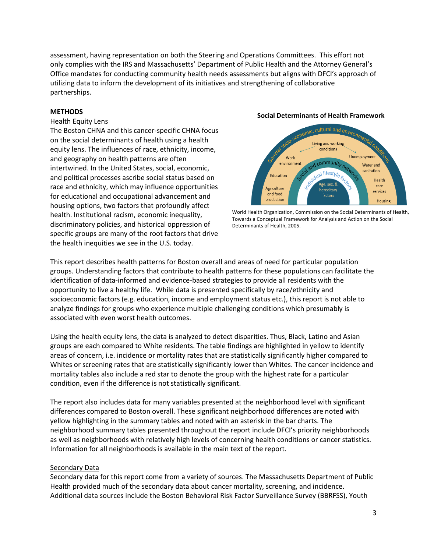assessment, having representation on both the Steering and Operations Committees. This effort not only complies with the IRS and Massachusetts' Department of Public Health and the Attorney General's Office mandates for conducting community health needs assessments but aligns with DFCI's approach of utilizing data to inform the development of its initiatives and strengthening of collaborative partnerships.

#### **METHODS**

#### Health Equity Lens

The Boston CHNA and this cancer-specific CHNA focus on the social determinants of health using a health equity lens. The influences of race, ethnicity, income, and geography on health patterns are often intertwined. In the United States, social, economic, and political processes ascribe social status based on race and ethnicity, which may influence opportunities for educational and occupational advancement and housing options, two factors that profoundly affect health. Institutional racism, economic inequality, discriminatory policies, and historical oppression of specific groups are many of the root factors that drive the health inequities we see in the U.S. today.

#### **Social Determinants of Health Framework**



World Health Organization, Commission on the Social Determinants of Health, Towards a Conceptual Framework for Analysis and Action on the Social Determinants of Health, 2005.

This report describes health patterns for Boston overall and areas of need for particular population groups. Understanding factors that contribute to health patterns for these populations can facilitate the identification of data-informed and evidence-based strategies to provide all residents with the opportunity to live a healthy life. While data is presented specifically by race/ethnicity and socioeconomic factors (e.g. education, income and employment status etc.), this report is not able to analyze findings for groups who experience multiple challenging conditions which presumably is associated with even worst health outcomes.

Using the health equity lens, the data is analyzed to detect disparities. Thus, Black, Latino and Asian groups are each compared to White residents. The table findings are highlighted in yellow to identify areas of concern, i.e. incidence or mortality rates that are statistically significantly higher compared to Whites or screening rates that are statistically significantly lower than Whites. The cancer incidence and mortality tables also include a red star to denote the group with the highest rate for a particular condition, even if the difference is not statistically significant.

The report also includes data for many variables presented at the neighborhood level with significant differences compared to Boston overall. These significant neighborhood differences are noted with yellow highlighting in the summary tables and noted with an asterisk in the bar charts. The neighborhood summary tables presented throughout the report include DFCI's priority neighborhoods as well as neighborhoods with relatively high levels of concerning health conditions or cancer statistics. Information for all neighborhoods is available in the main text of the report.

### **Secondary Data**

Secondary data for this report come from a variety of sources. The Massachusetts Department of Public Health provided much of the secondary data about cancer mortality, screening, and incidence. Additional data sources include the Boston Behavioral Risk Factor Surveillance Survey (BBRFSS), Youth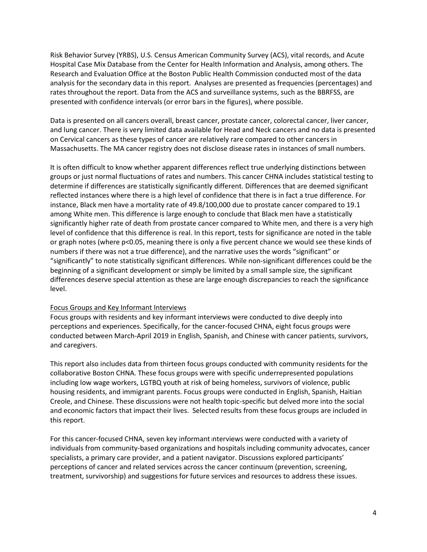Risk Behavior Survey (YRBS), U.S. Census American Community Survey (ACS), vital records, and Acute Hospital Case Mix Database from the Center for Health Information and Analysis, among others. The Research and Evaluation Office at the Boston Public Health Commission conducted most of the data analysis for the secondary data in this report. Analyses are presented as frequencies (percentages) and rates throughout the report. Data from the ACS and surveillance systems, such as the BBRFSS, are presented with confidence intervals (or error bars in the figures), where possible.

Data is presented on all cancers overall, breast cancer, prostate cancer, colorectal cancer, liver cancer, and lung cancer. There is very limited data available for Head and Neck cancers and no data is presented on Cervical cancers as these types of cancer are relatively rare compared to other cancers in Massachusetts. The MA cancer registry does not disclose disease rates in instances of small numbers.

It is often difficult to know whether apparent differences reflect true underlying distinctions between groups or just normal fluctuations of rates and numbers. This cancer CHNA includes statistical testing to determine if differences are statistically significantly different. Differences that are deemed significant reflected instances where there is a high level of confidence that there is in fact a true difference. For instance, Black men have a mortality rate of 49.8/100,000 due to prostate cancer compared to 19.1 among White men. This difference is large enough to conclude that Black men have a statistically significantly higher rate of death from prostate cancer compared to White men, and there is a very high level of confidence that this difference is real. In this report, tests for significance are noted in the table or graph notes (where p<0.05, meaning there is only a five percent chance we would see these kinds of numbers if there was not a true difference), and the narrative uses the words "significant" or "significantly" to note statistically significant differences. While non-significant differences could be the beginning of a significant development or simply be limited by a small sample size, the significant differences deserve special attention as these are large enough discrepancies to reach the significance level.

### Focus Groups and Key Informant Interviews

Focus groups with residents and key informant interviews were conducted to dive deeply into perceptions and experiences. Specifically, for the cancer-focused CHNA, eight focus groups were conducted between March-April 2019 in English, Spanish, and Chinese with cancer patients, survivors, and caregivers.

This report also includes data from thirteen focus groups conducted with community residents for the collaborative Boston CHNA. These focus groups were with specific underrepresented populations including low wage workers, LGTBQ youth at risk of being homeless, survivors of violence, public housing residents, and immigrant parents. Focus groups were conducted in English, Spanish, Haitian Creole, and Chinese. These discussions were not health topic-specific but delved more into the social and economic factors that impact their lives. Selected results from these focus groups are included in this report.

For this cancer-focused CHNA, seven key informant interviews were conducted with a variety of individuals from community-based organizations and hospitals including community advocates, cancer specialists, a primary care provider, and a patient navigator. Discussions explored participants' perceptions of cancer and related services across the cancer continuum (prevention, screening, treatment, survivorship) and suggestions for future services and resources to address these issues.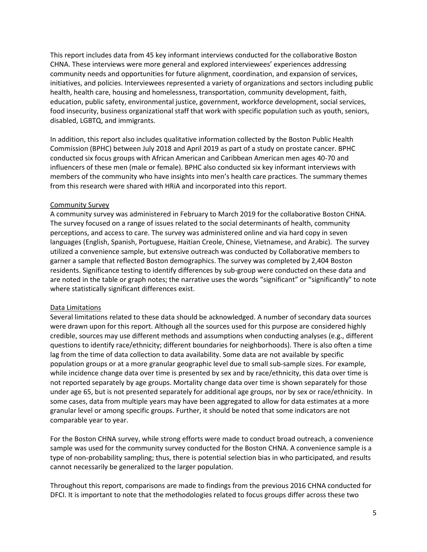This report includes data from 45 key informant interviews conducted for the collaborative Boston CHNA. These interviews were more general and explored interviewees' experiences addressing community needs and opportunities for future alignment, coordination, and expansion of services, initiatives, and policies. Interviewees represented a variety of organizations and sectors including public health, health care, housing and homelessness, transportation, community development, faith, education, public safety, environmental justice, government, workforce development, social services, food insecurity, business organizational staff that work with specific population such as youth, seniors, disabled, LGBTQ, and immigrants.

In addition, this report also includes qualitative information collected by the Boston Public Health Commission (BPHC) between July 2018 and April 2019 as part of a study on prostate cancer. BPHC conducted six focus groups with African American and Caribbean American men ages 40-70 and influencers of these men (male or female). BPHC also conducted six key informant interviews with members of the community who have insights into men's health care practices. The summary themes from this research were shared with HRiA and incorporated into this report.

# Community Survey

A community survey was administered in February to March 2019 for the collaborative Boston CHNA. The survey focused on a range of issues related to the social determinants of health, community perceptions, and access to care. The survey was administered online and via hard copy in seven languages (English, Spanish, Portuguese, Haitian Creole, Chinese, Vietnamese, and Arabic). The survey utilized a convenience sample, but extensive outreach was conducted by Collaborative members to garner a sample that reflected Boston demographics. The survey was completed by 2,404 Boston residents. Significance testing to identify differences by sub-group were conducted on these data and are noted in the table or graph notes; the narrative uses the words "significant" or "significantly" to note where statistically significant differences exist.

### Data Limitations

Several limitations related to these data should be acknowledged. A number of secondary data sources were drawn upon for this report. Although all the sources used for this purpose are considered highly credible, sources may use different methods and assumptions when conducting analyses (e.g., different questions to identify race/ethnicity; different boundaries for neighborhoods). There is also often a time lag from the time of data collection to data availability. Some data are not available by specific population groups or at a more granular geographic level due to small sub-sample sizes. For example, while incidence change data over time is presented by sex and by race/ethnicity, this data over time is not reported separately by age groups. Mortality change data over time is shown separately for those under age 65, but is not presented separately for additional age groups, nor by sex or race/ethnicity. In some cases, data from multiple years may have been aggregated to allow for data estimates at a more granular level or among specific groups. Further, it should be noted that some indicators are not comparable year to year.

For the Boston CHNA survey, while strong efforts were made to conduct broad outreach, a convenience sample was used for the community survey conducted for the Boston CHNA. A convenience sample is a type of non-probability sampling; thus, there is potential selection bias in who participated, and results cannot necessarily be generalized to the larger population.

Throughout this report, comparisons are made to findings from the previous 2016 CHNA conducted for DFCI. It is important to note that the methodologies related to focus groups differ across these two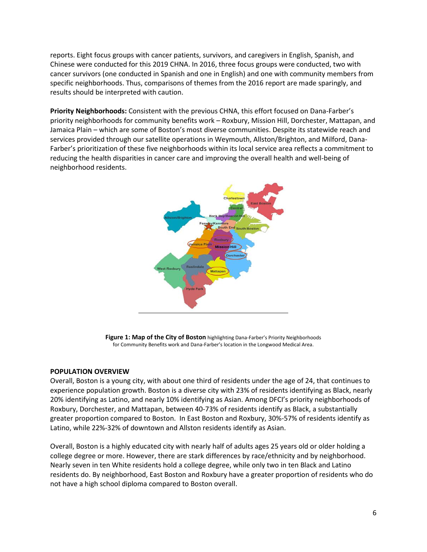reports. Eight focus groups with cancer patients, survivors, and caregivers in English, Spanish, and Chinese were conducted for this 2019 CHNA. In 2016, three focus groups were conducted, two with cancer survivors (one conducted in Spanish and one in English) and one with community members from specific neighborhoods. Thus, comparisons of themes from the 2016 report are made sparingly, and results should be interpreted with caution.

**Priority Neighborhoods:** Consistent with the previous CHNA, this effort focused on Dana-Farber's priority neighborhoods for community benefits work – Roxbury, Mission Hill, Dorchester, Mattapan, and Jamaica Plain – which are some of Boston's most diverse communities. Despite its statewide reach and services provided through our satellite operations in Weymouth, Allston/Brighton, and Milford, Dana-Farber's prioritization of these five neighborhoods within its local service area reflects a commitment to reducing the health disparities in cancer care and improving the overall health and well-being of neighborhood residents.



**Figure 1: Map of the City of Boston** highlighting Dana-Farber's Priority Neighborhoods for Community Benefits work and Dana-Farber's location in the Longwood Medical Area.

### **POPULATION OVERVIEW**

Overall, Boston is a young city, with about one third of residents under the age of 24, that continues to experience population growth. Boston is a diverse city with 23% of residents identifying as Black, nearly 20% identifying as Latino, and nearly 10% identifying as Asian. Among DFCI's priority neighborhoods of Roxbury, Dorchester, and Mattapan, between 40-73% of residents identify as Black, a substantially greater proportion compared to Boston. In East Boston and Roxbury, 30%-57% of residents identify as Latino, while 22%-32% of downtown and Allston residents identify as Asian.

Overall, Boston is a highly educated city with nearly half of adults ages 25 years old or older holding a college degree or more. However, there are stark differences by race/ethnicity and by neighborhood. Nearly seven in ten White residents hold a college degree, while only two in ten Black and Latino residents do. By neighborhood, East Boston and Roxbury have a greater proportion of residents who do not have a high school diploma compared to Boston overall.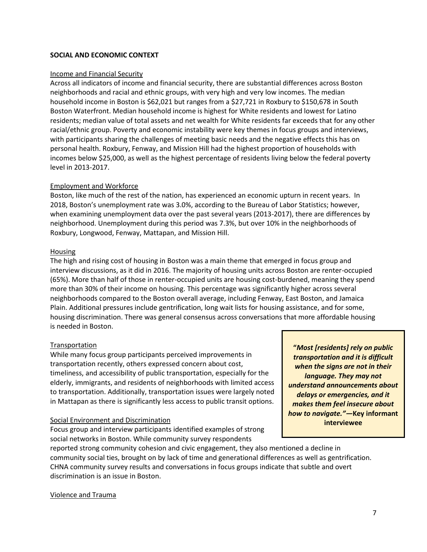### **SOCIAL AND ECONOMIC CONTEXT**

#### Income and Financial Security

Across all indicators of income and financial security, there are substantial differences across Boston neighborhoods and racial and ethnic groups, with very high and very low incomes. The median household income in Boston is \$62,021 but ranges from a \$27,721 in Roxbury to \$150,678 in South Boston Waterfront. Median household income is highest for White residents and lowest for Latino residents; median value of total assets and net wealth for White residents far exceeds that for any other racial/ethnic group. Poverty and economic instability were key themes in focus groups and interviews, with participants sharing the challenges of meeting basic needs and the negative effects this has on personal health. Roxbury, Fenway, and Mission Hill had the highest proportion of households with incomes below \$25,000, as well as the highest percentage of residents living below the federal poverty level in 2013-2017.

#### Employment and Workforce

Boston, like much of the rest of the nation, has experienced an economic upturn in recent years. In 2018, Boston's unemployment rate was 3.0%, according to the Bureau of Labor Statistics; however, when examining unemployment data over the past several years (2013-2017), there are differences by neighborhood. Unemployment during this period was 7.3%, but over 10% in the neighborhoods of Roxbury, Longwood, Fenway, Mattapan, and Mission Hill.

#### Housing

The high and rising cost of housing in Boston was a main theme that emerged in focus group and interview discussions, as it did in 2016. The majority of housing units across Boston are renter-occupied (65%). More than half of those in renter-occupied units are housing cost-burdened, meaning they spend more than 30% of their income on housing. This percentage was significantly higher across several neighborhoods compared to the Boston overall average, including Fenway, East Boston, and Jamaica Plain. Additional pressures include gentrification, long wait lists for housing assistance, and for some, housing discrimination. There was general consensus across conversations that more affordable housing is needed in Boston.

#### **Transportation**

While many focus group participants perceived improvements in transportation recently, others expressed concern about cost, timeliness, and accessibility of public transportation, especially for the elderly, immigrants, and residents of neighborhoods with limited access to transportation. Additionally, transportation issues were largely noted in Mattapan as there is significantly less access to public transit options.

#### Social Environment and Discrimination

Focus group and interview participants identified examples of strong social networks in Boston. While community survey respondents

**"***Most [residents] rely on public transportation and it is difficult when the signs are not in their language. They may not understand announcements about delays or emergencies, and it makes them feel insecure about how to navigate."—***Key informant interviewee**

reported strong community cohesion and civic engagement, they also mentioned a decline in community social ties, brought on by lack of time and generational differences as well as gentrification. CHNA community survey results and conversations in focus groups indicate that subtle and overt discrimination is an issue in Boston.

#### Violence and Trauma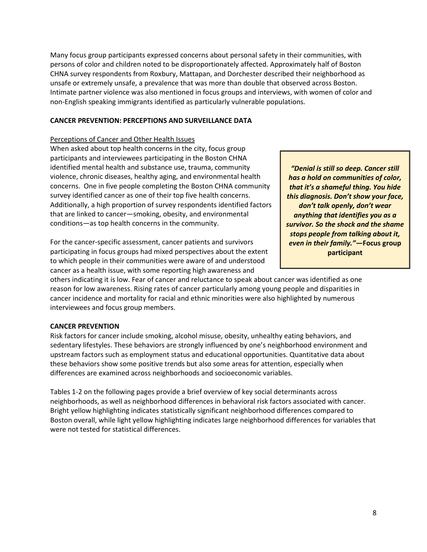Many focus group participants expressed concerns about personal safety in their communities, with persons of color and children noted to be disproportionately affected. Approximately half of Boston CHNA survey respondents from Roxbury, Mattapan, and Dorchester described their neighborhood as unsafe or extremely unsafe, a prevalence that was more than double that observed across Boston. Intimate partner violence was also mentioned in focus groups and interviews, with women of color and non-English speaking immigrants identified as particularly vulnerable populations.

# **CANCER PREVENTION: PERCEPTIONS AND SURVEILLANCE DATA**

# Perceptions of Cancer and Other Health Issues

When asked about top health concerns in the city, focus group participants and interviewees participating in the Boston CHNA identified mental health and substance use, trauma, community violence, chronic diseases, healthy aging, and environmental health concerns. One in five people completing the Boston CHNA community survey identified cancer as one of their top five health concerns. Additionally, a high proportion of survey respondents identified factors that are linked to cancer—smoking, obesity, and environmental conditions—as top health concerns in the community.

For the cancer-specific assessment, cancer patients and survivors participating in focus groups had mixed perspectives about the extent to which people in their communities were aware of and understood cancer as a health issue, with some reporting high awareness and

*"Denial is still so deep. Cancer still has a hold on communities of color, that it's a shameful thing. You hide this diagnosis. Don't show your face, don't talk openly, don't wear anything that identifies you as a survivor. So the shock and the shame stops people from talking about it, even in their family."***—Focus group participant**

others indicating it is low. Fear of cancer and reluctance to speak about cancer was identified as one reason for low awareness. Rising rates of cancer particularly among young people and disparities in cancer incidence and mortality for racial and ethnic minorities were also highlighted by numerous interviewees and focus group members.

# **CANCER PREVENTION**

Risk factors for cancer include smoking, alcohol misuse, obesity, unhealthy eating behaviors, and sedentary lifestyles. These behaviors are strongly influenced by one's neighborhood environment and upstream factors such as employment status and educational opportunities. Quantitative data about these behaviors show some positive trends but also some areas for attention, especially when differences are examined across neighborhoods and socioeconomic variables.

Tables 1-2 on the following pages provide a brief overview of key social determinants across neighborhoods, as well as neighborhood differences in behavioral risk factors associated with cancer. Bright yellow highlighting indicates statistically significant neighborhood differences compared to Boston overall, while light yellow highlighting indicates large neighborhood differences for variables that were not tested for statistical differences.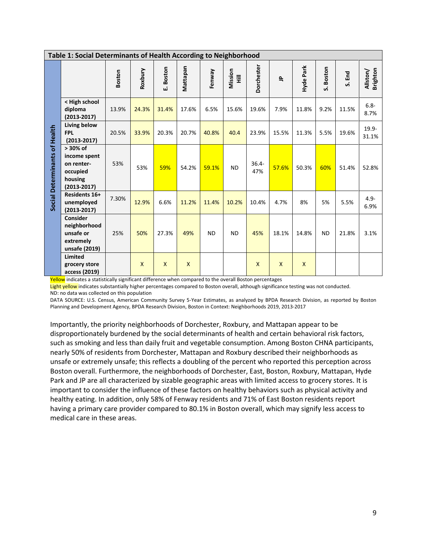|                               | Table 1: Social Determinants of Health According to Neighborhood                 |               |              |              |              |           |              |                 |              |              |              |        |                             |
|-------------------------------|----------------------------------------------------------------------------------|---------------|--------------|--------------|--------------|-----------|--------------|-----------------|--------------|--------------|--------------|--------|-----------------------------|
|                               |                                                                                  | <b>Boston</b> | Roxbury      | E. Boston    | Mattapan     | Fenway    | Mission<br>量 | Dorchester      | $\tilde{=}$  | Hyde Park    | Boston<br>ທ່ | S. End | <b>Brighton</b><br>Allston/ |
|                               | < High school<br>diploma<br>$(2013 - 2017)$                                      | 13.9%         | 24.3%        | 31.4%        | 17.6%        | 6.5%      | 15.6%        | 19.6%           | 7.9%         | 11.8%        | 9.2%         | 11.5%  | $6.8 -$<br>8.7%             |
|                               | Living below<br><b>FPL</b><br>$(2013 - 2017)$                                    | 20.5%         | 33.9%        | 20.3%        | 20.7%        | 40.8%     | 40.4         | 23.9%           | 15.5%        | 11.3%        | 5.5%         | 19.6%  | $19.9 -$<br>31.1%           |
| Social Determinants of Health | > 30% of<br>income spent<br>on renter-<br>occupied<br>housing<br>$(2013 - 2017)$ | 53%           | 53%          | 59%          | 54.2%        | 59.1%     | <b>ND</b>    | $36.4 -$<br>47% | 57.6%        | 50.3%        | 60%          | 51.4%  | 52.8%                       |
|                               | Residents 16+<br>unemployed<br>$(2013 - 2017)$                                   | 7.30%         | 12.9%        | 6.6%         | 11.2%        | 11.4%     | 10.2%        | 10.4%           | 4.7%         | 8%           | 5%           | 5.5%   | $4.9 -$<br>6.9%             |
|                               | Consider<br>neighborhood<br>unsafe or<br>extremely<br>unsafe (2019)              | 25%           | 50%          | 27.3%        | 49%          | <b>ND</b> | <b>ND</b>    | 45%             | 18.1%        | 14.8%        | <b>ND</b>    | 21.8%  | 3.1%                        |
|                               | Limited<br>grocery store<br>access (2019)                                        |               | $\mathsf{x}$ | $\mathsf{x}$ | $\mathsf{x}$ |           |              | $\mathsf{x}$    | $\mathsf{x}$ | $\mathsf{x}$ |              |        |                             |

Yellow indicates a statistically significant difference when compared to the overall Boston percentages

Light yellow indicates substantially higher percentages compared to Boston overall, although significance testing was not conducted. ND: no data was collected on this population

DATA SOURCE: U.S. Census, American Community Survey 5-Year Estimates, as analyzed by BPDA Research Division, as reported by Boston Planning and Development Agency, BPDA Research Division, Boston in Context: Neighborhoods 2019, 2013-2017

Importantly, the priority neighborhoods of Dorchester, Roxbury, and Mattapan appear to be disproportionately burdened by the social determinants of health and certain behavioral risk factors, such as smoking and less than daily fruit and vegetable consumption. Among Boston CHNA participants, nearly 50% of residents from Dorchester, Mattapan and Roxbury described their neighborhoods as unsafe or extremely unsafe; this reflects a doubling of the percent who reported this perception across Boston overall. Furthermore, the neighborhoods of Dorchester, East, Boston, Roxbury, Mattapan, Hyde Park and JP are all characterized by sizable geographic areas with limited access to grocery stores. It is important to consider the influence of these factors on healthy behaviors such as physical activity and healthy eating. In addition, only 58% of Fenway residents and 71% of East Boston residents report having a primary care provider compared to 80.1% in Boston overall, which may signify less access to medical care in these areas.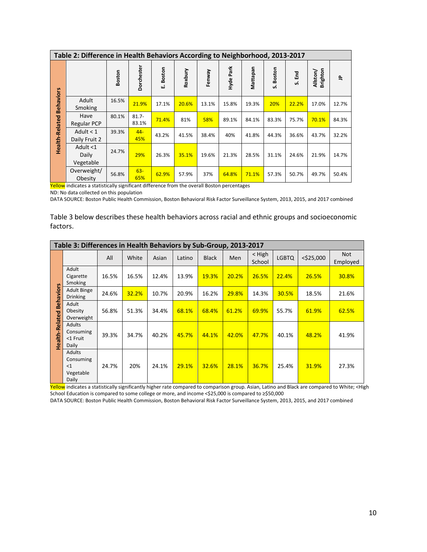|                       | Table 2: Difference in Health Behaviors According to Neighborhood, 2013-2017 |        |                   |              |         |        |           |          |           |                 |                             |       |  |
|-----------------------|------------------------------------------------------------------------------|--------|-------------------|--------------|---------|--------|-----------|----------|-----------|-----------------|-----------------------------|-------|--|
|                       |                                                                              | Boston | <b>Dorchester</b> | Boston<br>Шi | Roxbury | Fenway | Hyde Park | Mattapan | S. Boston | ۲m<br>Em<br>ιó, | <b>Brighton</b><br>Allston/ | 윽     |  |
| <b>Behaviors</b>      | Adult<br>Smoking                                                             | 16.5%  | 21.9%             | 17.1%        | 20.6%   | 13.1%  | 15.8%     | 19.3%    | 20%       | 22.2%           | 17.0%                       | 12.7% |  |
|                       | Have<br><b>Regular PCP</b>                                                   | 80.1%  | $81.7 -$<br>83.1% | 71.4%        | 81%     | 58%    | 89.1%     | 84.1%    | 83.3%     | 75.7%           | 70.1%                       | 84.3% |  |
| <b>Health-Related</b> | Adult $<$ 1<br>Daily Fruit 2                                                 | 39.3%  | $44 -$<br>45%     | 43.2%        | 41.5%   | 38.4%  | 40%       | 41.8%    | 44.3%     | 36.6%           | 43.7%                       | 32.2% |  |
|                       | Adult <1<br>Daily<br>Vegetable                                               | 24.7%  | 29%               | 26.3%        | 35.1%   | 19.6%  | 21.3%     | 28.5%    | 31.1%     | 24.6%           | 21.9%                       | 14.7% |  |
|                       | Overweight/<br>Obesity                                                       | 56.8%  | $63 -$<br>65%     | 62.9%        | 57.9%   | 37%    | 64.8%     | 71.1%    | 57.3%     | 50.7%           | 49.7%                       | 50.4% |  |

Yellow indicates a statistically significant difference from the overall Boston percentages

ND: No data collected on this population

DATA SOURCE: Boston Public Health Commission, Boston Behavioral Risk Factor Surveillance System, 2013, 2015, and 2017 combined

Table 3 below describes these health behaviors across racial and ethnic groups and socioeconomic factors.

|                 | Table 3: Differences in Health Behaviors by Sub-Group, 2013-2017 |       |       |       |        |              |       |                    |              |              |                        |  |
|-----------------|------------------------------------------------------------------|-------|-------|-------|--------|--------------|-------|--------------------|--------------|--------------|------------------------|--|
|                 |                                                                  | All   | White | Asian | Latino | <b>Black</b> | Men   | $<$ High<br>School | <b>LGBTQ</b> | $<$ \$25,000 | <b>Not</b><br>Employed |  |
| <b>SV</b>       | Adult<br>Cigarette<br>Smoking                                    | 16.5% | 16.5% | 12.4% | 13.9%  | 19.3%        | 20.2% | 26.5%              | 22.4%        | 26.5%        | 30.8%                  |  |
| <b>Behavior</b> | <b>Adult Binge</b><br><b>Drinking</b>                            | 24.6% | 32.2% | 10.7% | 20.9%  | 16.2%        | 29.8% | 14.3%              | 30.5%        | 18.5%        | 21.6%                  |  |
| Health-Related  | Adult<br>Obesity<br>Overweight                                   | 56.8% | 51.3% | 34.4% | 68.1%  | 68.4%        | 61.2% | 69.9%              | 55.7%        | 61.9%        | 62.5%                  |  |
|                 | <b>Adults</b><br>Consuming<br><1 Fruit<br>Daily                  | 39.3% | 34.7% | 40.2% | 45.7%  | 44.1%        | 42.0% | 47.7%              | 40.1%        | 48.2%        | 41.9%                  |  |
|                 | <b>Adults</b><br>Consuming<br><1<br>Vegetable<br>Daily           | 24.7% | 20%   | 24.1% | 29.1%  | 32.6%        | 28.1% | 36.7%              | 25.4%        | 31.9%        | 27.3%                  |  |

Yellow indicates a statistically significantly higher rate compared to comparison group. Asian, Latino and Black are compared to White; <High School Education is compared to some college or more, and income <\$25,000 is compared to ≥\$50,000

DATA SOURCE: Boston Public Health Commission, Boston Behavioral Risk Factor Surveillance System, 2013, 2015, and 2017 combined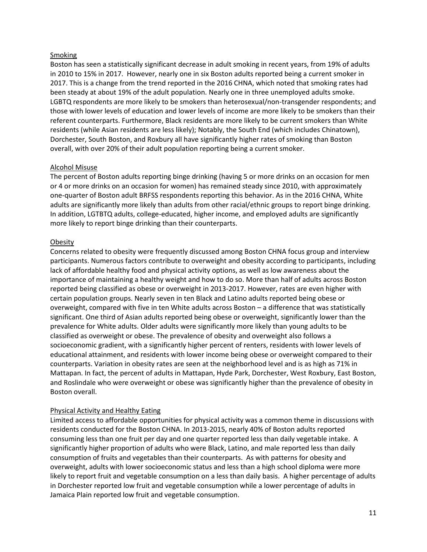### Smoking

Boston has seen a statistically significant decrease in adult smoking in recent years, from 19% of adults in 2010 to 15% in 2017. However, nearly one in six Boston adults reported being a current smoker in 2017. This is a change from the trend reported in the 2016 CHNA, which noted that smoking rates had been steady at about 19% of the adult population. Nearly one in three unemployed adults smoke. LGBTQ respondents are more likely to be smokers than heterosexual/non-transgender respondents; and those with lower levels of education and lower levels of income are more likely to be smokers than their referent counterparts. Furthermore, Black residents are more likely to be current smokers than White residents (while Asian residents are less likely); Notably, the South End (which includes Chinatown), Dorchester, South Boston, and Roxbury all have significantly higher rates of smoking than Boston overall, with over 20% of their adult population reporting being a current smoker.

#### Alcohol Misuse

The percent of Boston adults reporting binge drinking (having 5 or more drinks on an occasion for men or 4 or more drinks on an occasion for women) has remained steady since 2010, with approximately one-quarter of Boston adult BRFSS respondents reporting this behavior. As in the 2016 CHNA, White adults are significantly more likely than adults from other racial/ethnic groups to report binge drinking. In addition, LGTBTQ adults, college-educated, higher income, and employed adults are significantly more likely to report binge drinking than their counterparts.

#### **Obesity**

Concerns related to obesity were frequently discussed among Boston CHNA focus group and interview participants. Numerous factors contribute to overweight and obesity according to participants, including lack of affordable healthy food and physical activity options, as well as low awareness about the importance of maintaining a healthy weight and how to do so. More than half of adults across Boston reported being classified as obese or overweight in 2013-2017. However, rates are even higher with certain population groups. Nearly seven in ten Black and Latino adults reported being obese or overweight, compared with five in ten White adults across Boston – a difference that was statistically significant. One third of Asian adults reported being obese or overweight, significantly lower than the prevalence for White adults. Older adults were significantly more likely than young adults to be classified as overweight or obese. The prevalence of obesity and overweight also follows a socioeconomic gradient, with a significantly higher percent of renters, residents with lower levels of educational attainment, and residents with lower income being obese or overweight compared to their counterparts. Variation in obesity rates are seen at the neighborhood level and is as high as 71% in Mattapan. In fact, the percent of adults in Mattapan, Hyde Park, Dorchester, West Roxbury, East Boston, and Roslindale who were overweight or obese was significantly higher than the prevalence of obesity in Boston overall.

### Physical Activity and Healthy Eating

Limited access to affordable opportunities for physical activity was a common theme in discussions with residents conducted for the Boston CHNA. In 2013-2015, nearly 40% of Boston adults reported consuming less than one fruit per day and one quarter reported less than daily vegetable intake. A significantly higher proportion of adults who were Black, Latino, and male reported less than daily consumption of fruits and vegetables than their counterparts. As with patterns for obesity and overweight, adults with lower socioeconomic status and less than a high school diploma were more likely to report fruit and vegetable consumption on a less than daily basis. A higher percentage of adults in Dorchester reported low fruit and vegetable consumption while a lower percentage of adults in Jamaica Plain reported low fruit and vegetable consumption.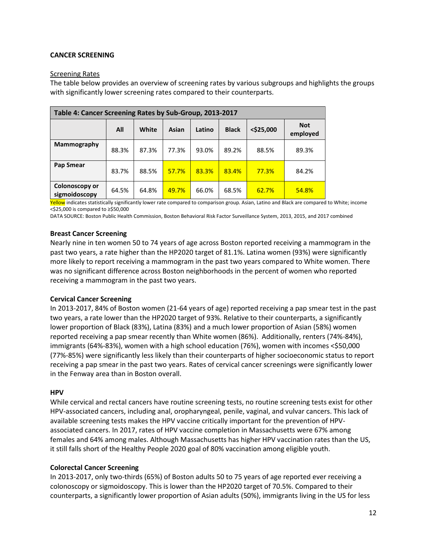### **CANCER SCREENING**

### Screening Rates

The table below provides an overview of screening rates by various subgroups and highlights the groups with significantly lower screening rates compared to their counterparts.

| Table 4: Cancer Screening Rates by Sub-Group, 2013-2017 |       |       |       |        |              |              |                        |  |  |  |  |
|---------------------------------------------------------|-------|-------|-------|--------|--------------|--------------|------------------------|--|--|--|--|
|                                                         | All   | White | Asian | Latino | <b>Black</b> | $<$ \$25,000 | <b>Not</b><br>employed |  |  |  |  |
| Mammography                                             | 88.3% | 87.3% | 77.3% | 93.0%  | 89.2%        | 88.5%        | 89.3%                  |  |  |  |  |
| Pap Smear                                               | 83.7% | 88.5% | 57.7% | 83.3%  | 83.4%        | 77.3%        | 84.2%                  |  |  |  |  |
| Colonoscopy or<br>sigmoidoscopy                         | 64.5% | 64.8% | 49.7% | 66.0%  | 68.5%        | 62.7%        | 54.8%                  |  |  |  |  |

Yellow indicates statistically significantly lower rate compared to comparison group. Asian, Latino and Black are compared to White; income <\$25,000 is compared to ≥\$50,000

DATA SOURCE: Boston Public Health Commission, Boston Behavioral Risk Factor Surveillance System, 2013, 2015, and 2017 combined

### **Breast Cancer Screening**

Nearly nine in ten women 50 to 74 years of age across Boston reported receiving a mammogram in the past two years, a rate higher than the HP2020 target of 81.1%. Latina women (93%) were significantly more likely to report receiving a mammogram in the past two years compared to White women. There was no significant difference across Boston neighborhoods in the percent of women who reported receiving a mammogram in the past two years.

### **Cervical Cancer Screening**

In 2013-2017, 84% of Boston women (21-64 years of age) reported receiving a pap smear test in the past two years, a rate lower than the HP2020 target of 93%. Relative to their counterparts, a significantly lower proportion of Black (83%), Latina (83%) and a much lower proportion of Asian (58%) women reported receiving a pap smear recently than White women (86%). Additionally, renters (74%-84%), immigrants (64%-83%), women with a high school education (76%), women with incomes <\$50,000 (77%-85%) were significantly less likely than their counterparts of higher socioeconomic status to report receiving a pap smear in the past two years. Rates of cervical cancer screenings were significantly lower in the Fenway area than in Boston overall.

#### **HPV**

While cervical and rectal cancers have routine screening tests, no routine screening tests exist for other HPV-associated cancers, including anal, oropharyngeal, penile, vaginal, and vulvar cancers. This lack of available screening tests makes the HPV vaccine critically important for the prevention of HPVassociated cancers. In 2017, rates of HPV vaccine completion in Massachusetts were 67% among females and 64% among males. Although Massachusetts has higher HPV vaccination rates than the US, it still falls short of the Healthy People 2020 goal of 80% vaccination among eligible youth.

### **Colorectal Cancer Screening**

In 2013-2017, only two-thirds (65%) of Boston adults 50 to 75 years of age reported ever receiving a colonoscopy or sigmoidoscopy. This is lower than the HP2020 target of 70.5%. Compared to their counterparts, a significantly lower proportion of Asian adults (50%), immigrants living in the US for less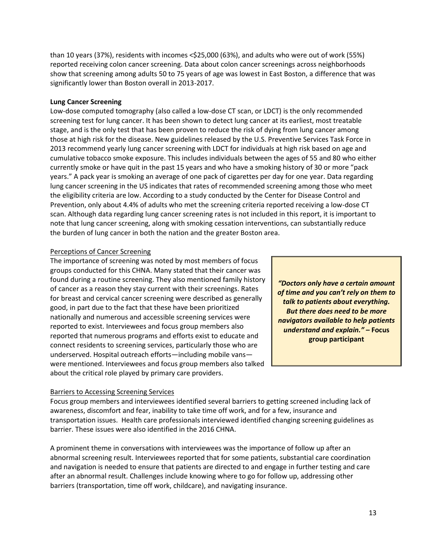than 10 years (37%), residents with incomes <\$25,000 (63%), and adults who were out of work (55%) reported receiving colon cancer screening. Data about colon cancer screenings across neighborhoods show that screening among adults 50 to 75 years of age was lowest in East Boston, a difference that was significantly lower than Boston overall in 2013-2017.

# **Lung Cancer Screening**

Low-dose computed tomography (also called a low-dose CT scan, or LDCT) is the only recommended screening test for lung cancer. It has been shown to detect lung cancer at its earliest, most treatable stage, and is the only test that has been proven to reduce the risk of dying from lung cancer among those at high risk for the disease. New guidelines released by the U.S. Preventive Services Task Force in 2013 recommend yearly lung cancer screening with LDCT for individuals at high risk based on age and cumulative tobacco smoke exposure. This includes individuals between the ages of 55 and 80 who either currently smoke or have quit in the past 15 years and who have a smoking history of 30 or more "pack years." A pack year is smoking an average of one pack of cigarettes per day for one year. Data regarding lung cancer screening in the US indicates that rates of recommended screening among those who meet the eligibility criteria are low. According to a study conducted by the Center for Disease Control and Prevention, only about 4.4% of adults who met the screening criteria reported receiving a low-dose CT scan. Although data regarding lung cancer screening rates is not included in this report, it is important to note that lung cancer screening, along with smoking cessation interventions, can substantially reduce the burden of lung cancer in both the nation and the greater Boston area.

# Perceptions of Cancer Screening

The importance of screening was noted by most members of focus groups conducted for this CHNA. Many stated that their cancer was found during a routine screening. They also mentioned family history of cancer as a reason they stay current with their screenings. Rates for breast and cervical cancer screening were described as generally good, in part due to the fact that these have been prioritized nationally and numerous and accessible screening services were reported to exist. Interviewees and focus group members also reported that numerous programs and efforts exist to educate and connect residents to screening services, particularly those who are underserved. Hospital outreach efforts—including mobile vans were mentioned. Interviewees and focus group members also talked about the critical role played by primary care providers.

*"Doctors only have a certain amount of time and you can't rely on them to talk to patients about everything. But there does need to be more navigators available to help patients understand and explain." –* **Focus group participant**

### Barriers to Accessing Screening Services

Focus group members and interviewees identified several barriers to getting screened including lack of awareness, discomfort and fear, inability to take time off work, and for a few, insurance and transportation issues. Health care professionals interviewed identified changing screening guidelines as barrier. These issues were also identified in the 2016 CHNA.

A prominent theme in conversations with interviewees was the importance of follow up after an abnormal screening result. Interviewees reported that for some patients, substantial care coordination and navigation is needed to ensure that patients are directed to and engage in further testing and care after an abnormal result. Challenges include knowing where to go for follow up, addressing other barriers (transportation, time off work, childcare), and navigating insurance.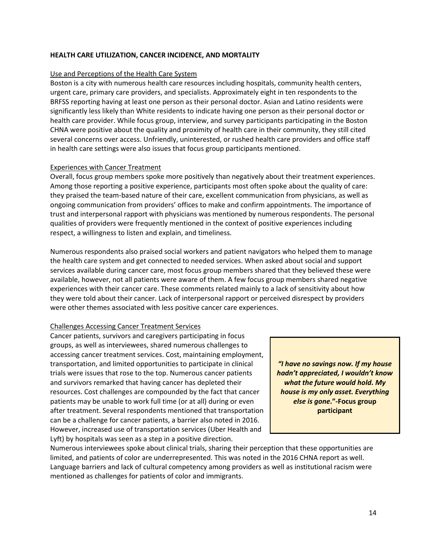### **HEALTH CARE UTILIZATION, CANCER INCIDENCE, AND MORTALITY**

#### Use and Perceptions of the Health Care System

Boston is a city with numerous health care resources including hospitals, community health centers, urgent care, primary care providers, and specialists. Approximately eight in ten respondents to the BRFSS reporting having at least one person as their personal doctor. Asian and Latino residents were significantly less likely than White residents to indicate having one person as their personal doctor or health care provider. While focus group, interview, and survey participants participating in the Boston CHNA were positive about the quality and proximity of health care in their community, they still cited several concerns over access. Unfriendly, uninterested, or rushed health care providers and office staff in health care settings were also issues that focus group participants mentioned.

#### Experiences with Cancer Treatment

Overall, focus group members spoke more positively than negatively about their treatment experiences. Among those reporting a positive experience, participants most often spoke about the quality of care: they praised the team-based nature of their care, excellent communication from physicians, as well as ongoing communication from providers' offices to make and confirm appointments. The importance of trust and interpersonal rapport with physicians was mentioned by numerous respondents. The personal qualities of providers were frequently mentioned in the context of positive experiences including respect, a willingness to listen and explain, and timeliness.

Numerous respondents also praised social workers and patient navigators who helped them to manage the health care system and get connected to needed services. When asked about social and support services available during cancer care, most focus group members shared that they believed these were available, however, not all patients were aware of them. A few focus group members shared negative experiences with their cancer care. These comments related mainly to a lack of sensitivity about how they were told about their cancer. Lack of interpersonal rapport or perceived disrespect by providers were other themes associated with less positive cancer care experiences.

### Challenges Accessing Cancer Treatment Services

Cancer patients, survivors and caregivers participating in focus groups, as well as interviewees, shared numerous challenges to accessing cancer treatment services. Cost, maintaining employment, transportation, and limited opportunities to participate in clinical trials were issues that rose to the top. Numerous cancer patients and survivors remarked that having cancer has depleted their resources. Cost challenges are compounded by the fact that cancer patients may be unable to work full time (or at all) during or even after treatment. Several respondents mentioned that transportation can be a challenge for cancer patients, a barrier also noted in 2016. However, increased use of transportation services (Uber Health and Lyft) by hospitals was seen as a step in a positive direction.

*"I have no savings now. If my house hadn't appreciated, I wouldn't know what the future would hold. My house is my only asset. Everything else is gone***."-Focus group participant**

Numerous interviewees spoke about clinical trials, sharing their perception that these opportunities are limited, and patients of color are underrepresented. This was noted in the 2016 CHNA report as well. Language barriers and lack of cultural competency among providers as well as institutional racism were mentioned as challenges for patients of color and immigrants.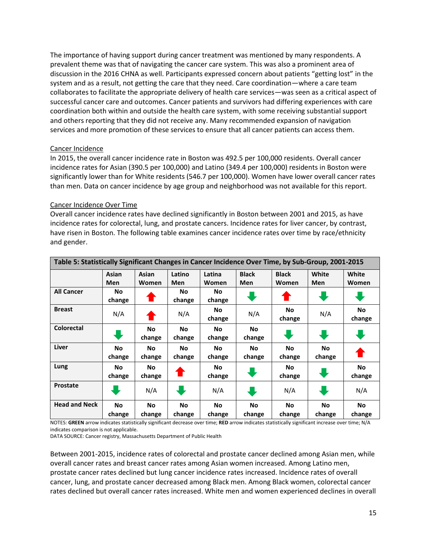The importance of having support during cancer treatment was mentioned by many respondents. A prevalent theme was that of navigating the cancer care system. This was also a prominent area of discussion in the 2016 CHNA as well. Participants expressed concern about patients "getting lost" in the system and as a result, not getting the care that they need. Care coordination—where a care team collaborates to facilitate the appropriate delivery of health care services—was seen as a critical aspect of successful cancer care and outcomes. Cancer patients and survivors had differing experiences with care coordination both within and outside the health care system, with some receiving substantial support and others reporting that they did not receive any. Many recommended expansion of navigation services and more promotion of these services to ensure that all cancer patients can access them.

### Cancer Incidence

In 2015, the overall cancer incidence rate in Boston was 492.5 per 100,000 residents. Overall cancer incidence rates for Asian (390.5 per 100,000) and Latino (349.4 per 100,000) residents in Boston were significantly lower than for White residents (546.7 per 100,000). Women have lower overall cancer rates than men. Data on cancer incidence by age group and neighborhood was not available for this report.

#### Cancer Incidence Over Time

Overall cancer incidence rates have declined significantly in Boston between 2001 and 2015, as have incidence rates for colorectal, lung, and prostate cancers. Incidence rates for liver cancer, by contrast, have risen in Boston. The following table examines cancer incidence rates over time by race/ethnicity and gender.

|                      | Table 5: Statistically Significant Changes in Cancer Incidence Over Time, by Sub-Group, 2001-2015 |              |            |           |              |              |           |           |  |  |  |  |
|----------------------|---------------------------------------------------------------------------------------------------|--------------|------------|-----------|--------------|--------------|-----------|-----------|--|--|--|--|
|                      | Asian                                                                                             | Asian        | Latino     | Latina    | <b>Black</b> | <b>Black</b> | White     | White     |  |  |  |  |
|                      | Men                                                                                               | <b>Women</b> | <b>Men</b> | Women     | <b>Men</b>   | Women        | Men       | Women     |  |  |  |  |
| <b>All Cancer</b>    | No                                                                                                |              | No         | No.       |              |              |           |           |  |  |  |  |
|                      | change                                                                                            |              | change     | change    |              |              |           |           |  |  |  |  |
| <b>Breast</b>        |                                                                                                   |              |            | No        |              | No           |           | No        |  |  |  |  |
|                      | N/A                                                                                               |              | N/A        | change    | N/A          | change       | N/A       | change    |  |  |  |  |
| <b>Colorectal</b>    |                                                                                                   | No           | No         | No        | No           |              |           |           |  |  |  |  |
|                      |                                                                                                   | change       | change     | change    | change       |              | ÷         |           |  |  |  |  |
| Liver                | No                                                                                                | <b>No</b>    | <b>No</b>  | No.       | No           | <b>No</b>    | <b>No</b> |           |  |  |  |  |
|                      | change                                                                                            | change       | change     | change    | change       | change       | change    |           |  |  |  |  |
| Lung                 | No                                                                                                | <b>No</b>    |            | No.       |              | No.          |           | <b>No</b> |  |  |  |  |
|                      | change                                                                                            | change       | T          | change    | ₩            | change       | ₩         | change    |  |  |  |  |
| <b>Prostate</b>      |                                                                                                   |              |            |           |              |              |           |           |  |  |  |  |
|                      |                                                                                                   | N/A          |            | N/A       | U            | N/A          |           | N/A       |  |  |  |  |
| <b>Head and Neck</b> | <b>No</b>                                                                                         | <b>No</b>    | No         | <b>No</b> | No           | No           | <b>No</b> | <b>No</b> |  |  |  |  |
|                      | change                                                                                            | change       | change     | change    | change       | change       | change    | change    |  |  |  |  |

NOTES: **GREEN** arrow indicates statistically significant decrease over time; **RED** arrow indicates statistically significant increase over time; N/A indicates comparison is not applicable.

DATA SOURCE: Cancer registry, Massachusetts Department of Public Health

Between 2001-2015, incidence rates of colorectal and prostate cancer declined among Asian men, while overall cancer rates and breast cancer rates among Asian women increased. Among Latino men, prostate cancer rates declined but lung cancer incidence rates increased. Incidence rates of overall cancer, lung, and prostate cancer decreased among Black men. Among Black women, colorectal cancer rates declined but overall cancer rates increased. White men and women experienced declines in overall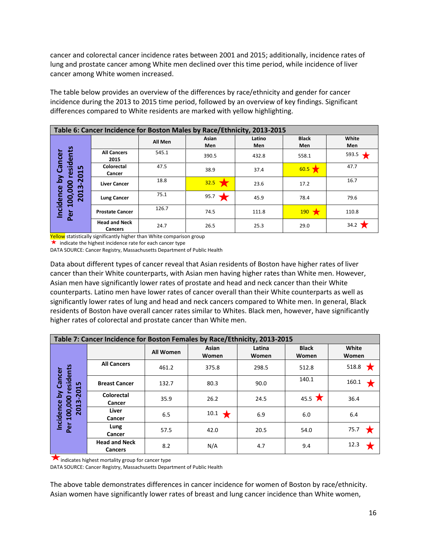cancer and colorectal cancer incidence rates between 2001 and 2015; additionally, incidence rates of lung and prostate cancer among White men declined over this time period, while incidence of liver cancer among White women increased.

The table below provides an overview of the differences by race/ethnicity and gender for cancer incidence during the 2013 to 2015 time period, followed by an overview of key findings. Significant differences compared to White residents are marked with yellow highlighting.

|                                                        | Table 6: Cancer Incidence for Boston Males by Race/Ethnicity, 2013-2015 |         |              |               |                     |                  |  |  |  |  |  |  |
|--------------------------------------------------------|-------------------------------------------------------------------------|---------|--------------|---------------|---------------------|------------------|--|--|--|--|--|--|
|                                                        |                                                                         | All Men | Asian<br>Men | Latino<br>Men | <b>Black</b><br>Men | White<br>Men     |  |  |  |  |  |  |
| esidents                                               | <b>All Cancers</b><br>2015                                              | 545.1   | 390.5        | 432.8         | 558.1               | 593.5            |  |  |  |  |  |  |
| by Cancer<br><b>LN</b><br>H                            | Colorectal<br>Cancer                                                    | 47.5    | 38.9         | 37.4          | $60.5$ )            | 47.7             |  |  |  |  |  |  |
| $\mathbf{S}$<br>800<br>ო                               | <b>Liver Cancer</b>                                                     | 18.8    | 32.5         | 23.6          | 17.2                | 16.7             |  |  |  |  |  |  |
| Incidence<br>H<br>0<br>100,<br>$\overline{\mathbf{N}}$ | <b>Lung Cancer</b>                                                      | 75.1    | 95.7         | 45.9          | 78.4                | 79.6             |  |  |  |  |  |  |
| Per                                                    | <b>Prostate Cancer</b>                                                  | 126.7   | 74.5         | 111.8         | 190                 | 110.8            |  |  |  |  |  |  |
|                                                        | <b>Head and Neck</b><br><b>Cancers</b>                                  | 24.7    | 26.5         | 25.3          | 29.0                | 34.2 $\bigtimes$ |  |  |  |  |  |  |

Yellow statistically significantly higher than White comparison group

 $\star$  indicate the highest incidence rate for each cancer type

DATA SOURCE: Cancer Registry, Massachusetts Department of Public Health

Data about different types of cancer reveal that Asian residents of Boston have higher rates of liver cancer than their White counterparts, with Asian men having higher rates than White men. However, Asian men have significantly lower rates of prostate and head and neck cancer than their White counterparts. Latino men have lower rates of cancer overall than their White counterparts as well as significantly lower rates of lung and head and neck cancers compared to White men. In general, Black residents of Boston have overall cancer rates similar to Whites. Black men, however, have significantly higher rates of colorectal and prostate cancer than White men.

|                                                                                   | Table 7: Cancer Incidence for Boston Females by Race/Ethnicity, 2013-2015 |           |                |                 |                            |                |
|-----------------------------------------------------------------------------------|---------------------------------------------------------------------------|-----------|----------------|-----------------|----------------------------|----------------|
|                                                                                   |                                                                           | All Women | Asian<br>Women | Latina<br>Women | <b>Black</b><br>Women      | White<br>Women |
|                                                                                   | <b>All Cancers</b>                                                        | 461.2     | 375.8          | 298.5           | 512.8                      | 518.8          |
| esidents<br>Cancer<br>$-2015$                                                     | <b>Breast Cancer</b>                                                      | 132.7     | 80.3           | 90.0            | 140.1                      | 160.1          |
| هَ<br>$\bullet$<br>Per 100,00<br><u>ลี</u><br><b>Incidence</b><br>$\overline{20}$ | Colorectal<br>Cancer                                                      | 35.9      | 26.2           | 24.5            | 45.5 $\blacktriangleright$ | 36.4           |
|                                                                                   | Liver<br>Cancer                                                           | 6.5       | 10.1           | 6.9             | 6.0                        | 6.4            |
|                                                                                   | Lung<br>Cancer                                                            | 57.5      | 42.0           | 20.5            | 54.0                       | 75.7           |
|                                                                                   | <b>Head and Neck</b><br><b>Cancers</b>                                    | 8.2       | N/A            | 4.7             | 9.4                        | 12.3           |

indicates highest mortality group for cancer type

DATA SOURCE: Cancer Registry, Massachusetts Department of Public Health

The above table demonstrates differences in cancer incidence for women of Boston by race/ethnicity. Asian women have significantly lower rates of breast and lung cancer incidence than White women,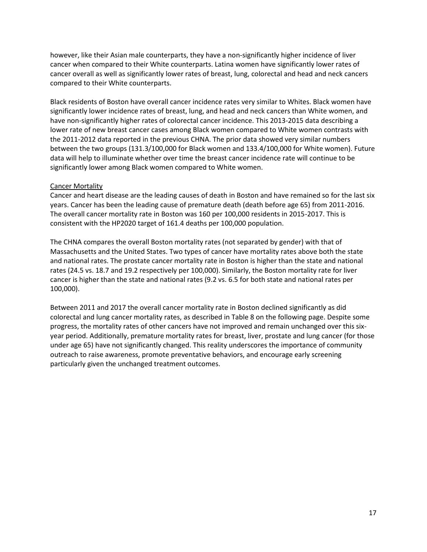however, like their Asian male counterparts, they have a non-significantly higher incidence of liver cancer when compared to their White counterparts. Latina women have significantly lower rates of cancer overall as well as significantly lower rates of breast, lung, colorectal and head and neck cancers compared to their White counterparts.

Black residents of Boston have overall cancer incidence rates very similar to Whites. Black women have significantly lower incidence rates of breast, lung, and head and neck cancers than White women, and have non-significantly higher rates of colorectal cancer incidence. This 2013-2015 data describing a lower rate of new breast cancer cases among Black women compared to White women contrasts with the 2011-2012 data reported in the previous CHNA. The prior data showed very similar numbers between the two groups (131.3/100,000 for Black women and 133.4/100,000 for White women). Future data will help to illuminate whether over time the breast cancer incidence rate will continue to be significantly lower among Black women compared to White women.

#### Cancer Mortality

Cancer and heart disease are the leading causes of death in Boston and have remained so for the last six years. Cancer has been the leading cause of premature death (death before age 65) from 2011-2016. The overall cancer mortality rate in Boston was 160 per 100,000 residents in 2015-2017. This is consistent with the HP2020 target of 161.4 deaths per 100,000 population.

The CHNA compares the overall Boston mortality rates (not separated by gender) with that of Massachusetts and the United States. Two types of cancer have mortality rates above both the state and national rates. The prostate cancer mortality rate in Boston is higher than the state and national rates (24.5 vs. 18.7 and 19.2 respectively per 100,000). Similarly, the Boston mortality rate for liver cancer is higher than the state and national rates (9.2 vs. 6.5 for both state and national rates per 100,000).

Between 2011 and 2017 the overall cancer mortality rate in Boston declined significantly as did colorectal and lung cancer mortality rates, as described in Table 8 on the following page. Despite some progress, the mortality rates of other cancers have not improved and remain unchanged over this sixyear period. Additionally, premature mortality rates for breast, liver, prostate and lung cancer (for those under age 65) have not significantly changed. This reality underscores the importance of community outreach to raise awareness, promote preventative behaviors, and encourage early screening particularly given the unchanged treatment outcomes.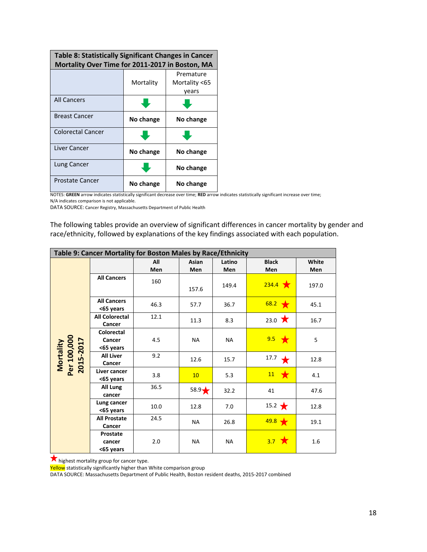| Table 8: Statistically Significant Changes in Cancer |           |               |
|------------------------------------------------------|-----------|---------------|
| Mortality Over Time for 2011-2017 in Boston, MA      |           |               |
|                                                      |           | Premature     |
|                                                      | Mortality | Mortality <65 |
|                                                      |           | years         |
| <b>All Cancers</b>                                   |           |               |
| <b>Breast Cancer</b>                                 | No change | No change     |
| Colorectal Cancer                                    |           |               |
| Liver Cancer                                         | No change | No change     |
| Lung Cancer                                          |           | No change     |
| <b>Prostate Cancer</b>                               | No change | No change     |

NOTES: **GREEN** arrow indicates statistically significant decrease over time; **RED** arrow indicates statistically significant increase over time; N/A indicates comparison is not applicable.

DATA SOURCE: Cancer Registry, Massachusetts Department of Public Health

The following tables provide an overview of significant differences in cancer mortality by gender and race/ethnicity, followed by explanations of the key findings associated with each population.

|                                       |                                          | Table 9: Cancer Mortality for Boston Males by Race/Ethnicity |                |               |                     |              |
|---------------------------------------|------------------------------------------|--------------------------------------------------------------|----------------|---------------|---------------------|--------------|
|                                       |                                          | All<br>Men                                                   | Asian<br>Men   | Latino<br>Men | <b>Black</b><br>Men | White<br>Men |
|                                       | <b>All Cancers</b>                       | 160                                                          | 157.6          | 149.4         | $234.4$ $\star$     | 197.0        |
|                                       | <b>All Cancers</b><br><65 years          | 46.3                                                         | 57.7           | 36.7          | 68.2<br>$\bigstar$  | 45.1         |
| Mortality<br>Per 100,000<br>2015-2017 | <b>All Colorectal</b><br>Cancer          | 12.1                                                         | 11.3           | 8.3           | 23.0 $\bigstar$     | 16.7         |
|                                       | <b>Colorectal</b><br>Cancer<br><65 years | 4.5                                                          | <b>NA</b>      | <b>NA</b>     | $9.5 \star$         | 5            |
|                                       | <b>All Liver</b><br>Cancer               | 9.2                                                          | 12.6           | 15.7          | 17.7                | 12.8         |
|                                       | Liver cancer<br><65 years                | 3.8                                                          | 10             | 5.3           | $11 \times$         | 4.1          |
|                                       | All Lung<br>cancer                       | 36.5                                                         | $58.9\bigstar$ | 32.2          | 41                  | 47.6         |
|                                       | Lung cancer<br><65 years                 | 10.0                                                         | 12.8           | 7.0           | $15.2 \rightarrow$  | 12.8         |
|                                       | <b>All Prostate</b><br>Cancer            | 24.5                                                         | NA             | 26.8          | 49.8                | 19.1         |
|                                       | Prostate<br>cancer<br><65 years          | 2.0                                                          | NА             | <b>NA</b>     | $3.7 \times$        | 1.6          |

highest mortality group for cancer type.

Yellow statistically significantly higher than White comparison group

DATA SOURCE: Massachusetts Department of Public Health, Boston resident deaths, 2015-2017 combined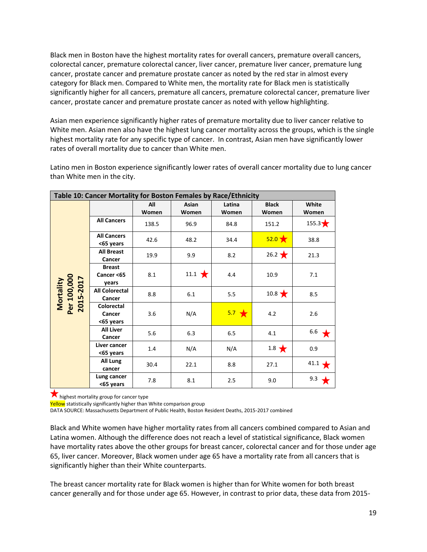Black men in Boston have the highest mortality rates for overall cancers, premature overall cancers, colorectal cancer, premature colorectal cancer, liver cancer, premature liver cancer, premature lung cancer, prostate cancer and premature prostate cancer as noted by the red star in almost every category for Black men. Compared to White men, the mortality rate for Black men is statistically significantly higher for all cancers, premature all cancers, premature colorectal cancer, premature liver cancer, prostate cancer and premature prostate cancer as noted with yellow highlighting.

Asian men experience significantly higher rates of premature mortality due to liver cancer relative to White men. Asian men also have the highest lung cancer mortality across the groups, which is the single highest mortality rate for any specific type of cancer. In contrast, Asian men have significantly lower rates of overall mortality due to cancer than White men.

|                                       | Table 10: Cancer Mortality for Boston Females by Race/Ethnicity |              |                        |                 |                       |                  |
|---------------------------------------|-----------------------------------------------------------------|--------------|------------------------|-----------------|-----------------------|------------------|
|                                       |                                                                 | All<br>Women | Asian<br>Women         | Latina<br>Women | <b>Black</b><br>Women | White<br>Women   |
|                                       | <b>All Cancers</b>                                              | 138.5        | 96.9                   | 84.8            | 151.2                 | 155.3 $\bigstar$ |
|                                       | <b>All Cancers</b><br><65 years                                 | 42.6         | 48.2                   | 34.4            | $52.0 \times$         | 38.8             |
|                                       | <b>All Breast</b><br>Cancer                                     | 19.9         | 9.9                    | 8.2             | $26.2 \star$          | 21.3             |
| Mortality<br>Per 100,000<br>2015-2017 | <b>Breast</b><br>Cancer <65<br>years                            | 8.1          | 11.1 $\bigstar$<br>4.4 |                 | 10.9                  | 7.1              |
|                                       | <b>All Colorectal</b><br>Cancer                                 | 8.8          | 6.1                    | 5.5             | $10.8 \star$          | 8.5              |
|                                       | <b>Colorectal</b><br>Cancer<br><65 years                        | 3.6          | N/A                    | $5.7 \div$      | 4.2                   | 2.6              |
|                                       | <b>All Liver</b><br>Cancer                                      | 5.6          | 6.3                    | 6.5             | 4.1                   | 6.6              |
|                                       | Liver cancer<br><65 years                                       | 1.4          | N/A                    | N/A             | $1.8 \star$           | 0.9              |
|                                       | All Lung<br>cancer                                              | 30.4         | 22.1                   | 8.8             | 27.1                  | 41.1             |
|                                       | Lung cancer<br><65 years                                        | 7.8          | 8.1                    | 2.5             | 9.0                   | 9.3              |

Latino men in Boston experience significantly lower rates of overall cancer mortality due to lung cancer than White men in the city.

**K** highest mortality group for cancer type

Yellow statistically significantly higher than White comparison group

DATA SOURCE: Massachusetts Department of Public Health, Boston Resident Deaths, 2015-2017 combined

Black and White women have higher mortality rates from all cancers combined compared to Asian and Latina women. Although the difference does not reach a level of statistical significance, Black women have mortality rates above the other groups for breast cancer, colorectal cancer and for those under age 65, liver cancer. Moreover, Black women under age 65 have a mortality rate from all cancers that is significantly higher than their White counterparts.

The breast cancer mortality rate for Black women is higher than for White women for both breast cancer generally and for those under age 65. However, in contrast to prior data, these data from 2015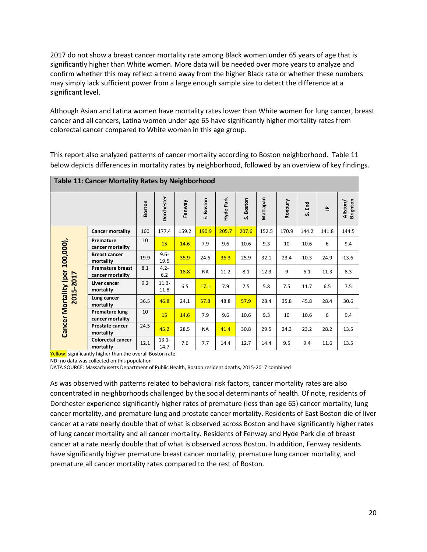2017 do not show a breast cancer mortality rate among Black women under 65 years of age that is significantly higher than White women. More data will be needed over more years to analyze and confirm whether this may reflect a trend away from the higher Black rate or whether these numbers may simply lack sufficient power from a large enough sample size to detect the difference at a significant level.

Although Asian and Latina women have mortality rates lower than White women for lung cancer, breast cancer and all cancers, Latina women under age 65 have significantly higher mortality rates from colorectal cancer compared to White women in this age group.

|                             | <b>Table 11: Cancer Mortality Rates by Neighborhood</b> |               |                  |        |             |           |              |          |         |        |             |                      |  |
|-----------------------------|---------------------------------------------------------|---------------|------------------|--------|-------------|-----------|--------------|----------|---------|--------|-------------|----------------------|--|
|                             |                                                         | <b>Boston</b> | Dorchester       | Fenway | Boston<br>Ш | Hyde Park | Boston<br>s. | Mattapan | Roxbury | S. End | $\triangle$ | Allston/<br>Brighton |  |
|                             | <b>Cancer mortality</b>                                 | 160           | 177.4            | 159.2  | 190.9       | 205.7     | 207.6        | 152.5    | 170.9   | 144.2  | 141.8       | 144.5                |  |
| 100,000),                   | Premature<br>cancer mortality                           | 10            | 15               | 14.6   | 7.9         | 9.6       | 10.6         | 9.3      | 10      | 10.6   | 6           | 9.4                  |  |
|                             | <b>Breast cancer</b><br>mortality                       | 19.9          | $9.6 -$<br>19.5  | 35.9   | 24.6        | 36.3      | 25.9         | 32.1     | 23.4    | 10.3   | 24.9        | 13.6                 |  |
|                             | <b>Premature breast</b><br>cancer mortality             | 8.1           | $4.2 -$<br>6.2   | 18.8   | <b>NA</b>   | 11.2      | 8.1          | 12.3     | 9       | 6.1    | 11.3        | 8.3                  |  |
| Mortality (per<br>2015-2017 | Liver cancer<br>mortality                               | 9.2           | $11.3 -$<br>11.8 | 6.5    | 17.1        | 7.9       | 7.5          | 5.8      | 7.5     | 11.7   | 6.5         | 7.5                  |  |
|                             | Lung cancer<br>mortality                                | 36.5          | 46.8             | 24.1   | 57.8        | 48.8      | 57.9         | 28.4     | 35.8    | 45.8   | 28.4        | 30.6                 |  |
|                             | Premature lung<br>cancer mortality                      | 10            | 15               | 14.6   | 7.9         | 9.6       | 10.6         | 9.3      | 10      | 10.6   | 6           | 9.4                  |  |
| Cancer                      | Prostate cancer<br>mortality                            | 24.5          | 45.2             | 28.5   | <b>NA</b>   | 41.4      | 30.8         | 29.5     | 24.3    | 23.2   | 28.2        | 13.5                 |  |
|                             | <b>Colorectal cancer</b><br>mortality                   | 12.1          | $13.1 -$<br>14.7 | 7.6    | 7.7         | 14.4      | 12.7         | 14.4     | 9.5     | 9.4    | 11.6        | 13.5                 |  |

This report also analyzed patterns of cancer mortality according to Boston neighborhood. Table 11 below depicts differences in mortality rates by neighborhood, followed by an overview of key findings.

Yellow: significantly higher than the overall Boston rate

ND: no data was collected on this population

DATA SOURCE: Massachusetts Department of Public Health, Boston resident deaths, 2015-2017 combined

As was observed with patterns related to behavioral risk factors, cancer mortality rates are also concentrated in neighborhoods challenged by the social determinants of health. Of note, residents of Dorchester experience significantly higher rates of premature (less than age 65) cancer mortality, lung cancer mortality, and premature lung and prostate cancer mortality. Residents of East Boston die of liver cancer at a rate nearly double that of what is observed across Boston and have significantly higher rates of lung cancer mortality and all cancer mortality. Residents of Fenway and Hyde Park die of breast cancer at a rate nearly double that of what is observed across Boston. In addition, Fenway residents have significantly higher premature breast cancer mortality, premature lung cancer mortality, and premature all cancer mortality rates compared to the rest of Boston.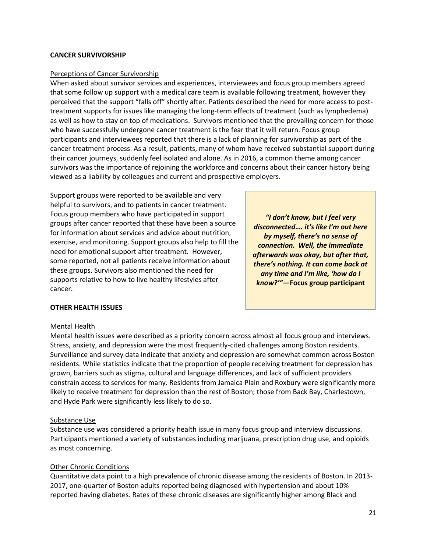### **CANCER SURVIVORSHIP**

#### Perceptions of Cancer Survivorship

When asked about survivor services and experiences, interviewees and focus group members agreed that some follow up support with a medical care team is available following treatment, however they perceived that the support "falls off" shortly after. Patients described the need for more access to posttreatment supports for issues like managing the long-term effects of treatment (such as lymphedema) as well as how to stay on top of medications. Survivors mentioned that the prevailing concern for those who have successfully undergone cancer treatment is the fear that it will return. Focus group participants and interviewees reported that there is a lack of planning for survivorship as part of the cancer treatment process. As a result, patients, many of whom have received substantial support during their cancer journeys, suddenly feel isolated and alone. As in 2016, a common theme among cancer survivors was the importance of rejoining the workforce and concerns about their cancer history being viewed as a liability by colleagues and current and prospective employers.

Support groups were reported to be available and very helpful to survivors, and to patients in cancer treatment. Focus group members who have participated in support groups after cancer reported that these have been a source for information about services and advice about nutrition, exercise, and monitoring. Support groups also help to fill the need for emotional support after treatment. However, some reported, not all patients receive information about these groups. Survivors also mentioned the need for supports relative to how to live healthy lifestyles after cancer.

*"I don't know, but I feel very disconnected…. it's like I'm out here by myself, there's no sense of connection. Well, the immediate afterwards was okay, but after that, there's nothing. It can come back at any time and I'm like, 'how do I know?'"—***Focus group participant**

#### **OTHER HEALTH ISSUES**

#### Mental Health

Mental health issues were described as a priority concern across almost all focus group and interviews. Stress, anxiety, and depression were the most frequently-cited challenges among Boston residents. Surveillance and survey data indicate that anxiety and depression are somewhat common across Boston residents. While statistics indicate that the proportion of people receiving treatment for depression has grown, barriers such as stigma, cultural and language differences, and lack of sufficient providers constrain access to services for many. Residents from Jamaica Plain and Roxbury were significantly more likely to receive treatment for depression than the rest of Boston; those from Back Bay, Charlestown, and Hyde Park were significantly less likely to do so.

### Substance Use

Substance use was considered a priority health issue in many focus group and interview discussions. Participants mentioned a variety of substances including marijuana, prescription drug use, and opioids as most concerning.

### Other Chronic Conditions

Quantitative data point to a high prevalence of chronic disease among the residents of Boston. In 2013- 2017, one-quarter of Boston adults reported being diagnosed with hypertension and about 10% reported having diabetes. Rates of these chronic diseases are significantly higher among Black and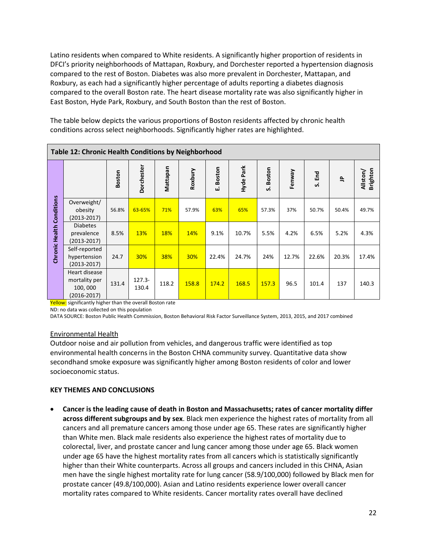Latino residents when compared to White residents. A significantly higher proportion of residents in DFCI's priority neighborhoods of Mattapan, Roxbury, and Dorchester reported a hypertension diagnosis compared to the rest of Boston. Diabetes was also more prevalent in Dorchester, Mattapan, and Roxbury, as each had a significantly higher percentage of adults reporting a diabetes diagnosis compared to the overall Boston rate. The heart disease mortality rate was also significantly higher in East Boston, Hyde Park, Roxbury, and South Boston than the rest of Boston.

The table below depicts the various proportions of Boston residents affected by chronic health conditions across select neighborhoods. Significantly higher rates are highlighted.

|                                  | Table 12: Chronic Health Conditions by Neighborhood          |        |                    |          |            |             |           |              |        |        |           |                      |
|----------------------------------|--------------------------------------------------------------|--------|--------------------|----------|------------|-------------|-----------|--------------|--------|--------|-----------|----------------------|
|                                  |                                                              | Boston | <b>Dorchester</b>  | Mattapan | Roxbury    | Boston<br>Ш | Hyde Park | Boston<br>ທ່ | Fenway | S. End | $\hat{=}$ | Brighton<br>Allston/ |
|                                  | Overweight/<br>obesity<br>$(2013 - 2017)$                    | 56.8%  | 63-65%             | 71%      | 57.9%      | 63%         | 65%       | 57.3%        | 37%    | 50.7%  | 50.4%     | 49.7%                |
| <b>Chronic Health Conditions</b> | <b>Diabetes</b><br>prevalence<br>$(2013 - 2017)$             | 8.5%   | 13%                | 18%      | <b>14%</b> | 9.1%        | 10.7%     | 5.5%         | 4.2%   | 6.5%   | 5.2%      | 4.3%                 |
|                                  | Self-reported<br>hypertension<br>$(2013 - 2017)$             | 24.7   | 30%                | 38%      | 30%        | 22.4%       | 24.7%     | 24%          | 12.7%  | 22.6%  | 20.3%     | 17.4%                |
|                                  | Heart disease<br>mortality per<br>100,000<br>$(2016 - 2017)$ | 131.4  | $127.3 -$<br>130.4 | 118.2    | 158.8      | 174.2       | 168.5     | 157.3        | 96.5   | 101.4  | 137       | 140.3                |

Yellow: significantly higher than the overall Boston rate

ND: no data was collected on this population

DATA SOURCE: Boston Public Health Commission, Boston Behavioral Risk Factor Surveillance System, 2013, 2015, and 2017 combined

### Environmental Health

Outdoor noise and air pollution from vehicles, and dangerous traffic were identified as top environmental health concerns in the Boston CHNA community survey. Quantitative data show secondhand smoke exposure was significantly higher among Boston residents of color and lower socioeconomic status.

### **KEY THEMES AND CONCLUSIONS**

• **Cancer is the leading cause of death in Boston and Massachusetts; rates of cancer mortality differ across different subgroups and by sex**. Black men experience the highest rates of mortality from all cancers and all premature cancers among those under age 65. These rates are significantly higher than White men. Black male residents also experience the highest rates of mortality due to colorectal, liver, and prostate cancer and lung cancer among those under age 65. Black women under age 65 have the highest mortality rates from all cancers which is statistically significantly higher than their White counterparts. Across all groups and cancers included in this CHNA, Asian men have the single highest mortality rate for lung cancer (58.9/100,000) followed by Black men for prostate cancer (49.8/100,000). Asian and Latino residents experience lower overall cancer mortality rates compared to White residents. Cancer mortality rates overall have declined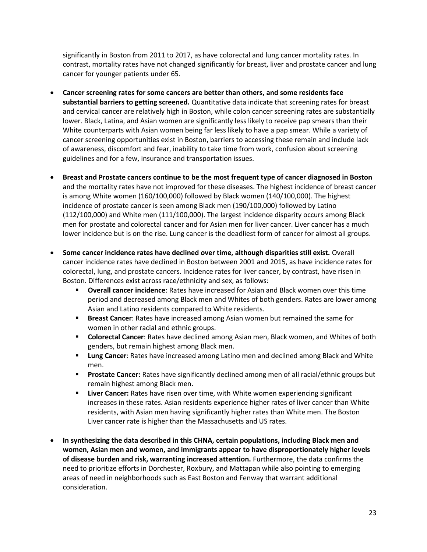significantly in Boston from 2011 to 2017, as have colorectal and lung cancer mortality rates. In contrast, mortality rates have not changed significantly for breast, liver and prostate cancer and lung cancer for younger patients under 65.

- **Cancer screening rates for some cancers are better than others, and some residents face substantial barriers to getting screened.** Quantitative data indicate that screening rates for breast and cervical cancer are relatively high in Boston, while colon cancer screening rates are substantially lower. Black, Latina, and Asian women are significantly less likely to receive pap smears than their White counterparts with Asian women being far less likely to have a pap smear. While a variety of cancer screening opportunities exist in Boston, barriers to accessing these remain and include lack of awareness, discomfort and fear, inability to take time from work, confusion about screening guidelines and for a few, insurance and transportation issues.
- **Breast and Prostate cancers continue to be the most frequent type of cancer diagnosed in Boston**  and the mortality rates have not improved for these diseases. The highest incidence of breast cancer is among White women (160/100,000) followed by Black women (140/100,000). The highest incidence of prostate cancer is seen among Black men (190/100,000) followed by Latino (112/100,000) and White men (111/100,000). The largest incidence disparity occurs among Black men for prostate and colorectal cancer and for Asian men for liver cancer. Liver cancer has a much lower incidence but is on the rise. Lung cancer is the deadliest form of cancer for almost all groups.
- **Some cancer incidence rates have declined over time, although disparities still exist.** Overall cancer incidence rates have declined in Boston between 2001 and 2015, as have incidence rates for colorectal, lung, and prostate cancers. Incidence rates for liver cancer, by contrast, have risen in Boston. Differences exist across race/ethnicity and sex, as follows:
	- **Overall cancer incidence**: Rates have increased for Asian and Black women over this time period and decreased among Black men and Whites of both genders. Rates are lower among Asian and Latino residents compared to White residents.
	- **Example 20 Figure 1 Breast Cancer:** Rates have increased among Asian women but remained the same for women in other racial and ethnic groups.
	- **EX Colorectal Cancer:** Rates have declined among Asian men, Black women, and Whites of both genders, but remain highest among Black men.
	- **Lung Cancer:** Rates have increased among Latino men and declined among Black and White men.
	- **Prostate Cancer:** Rates have significantly declined among men of all racial/ethnic groups but remain highest among Black men.
	- **EXECT Liver Cancer:** Rates have risen over time, with White women experiencing significant increases in these rates. Asian residents experience higher rates of liver cancer than White residents, with Asian men having significantly higher rates than White men. The Boston Liver cancer rate is higher than the Massachusetts and US rates.
- **In synthesizing the data described in this CHNA, certain populations, including Black men and women, Asian men and women, and immigrants appear to have disproportionately higher levels of disease burden and risk, warranting increased attention.** Furthermore, the data confirms the need to prioritize efforts in Dorchester, Roxbury, and Mattapan while also pointing to emerging areas of need in neighborhoods such as East Boston and Fenway that warrant additional consideration.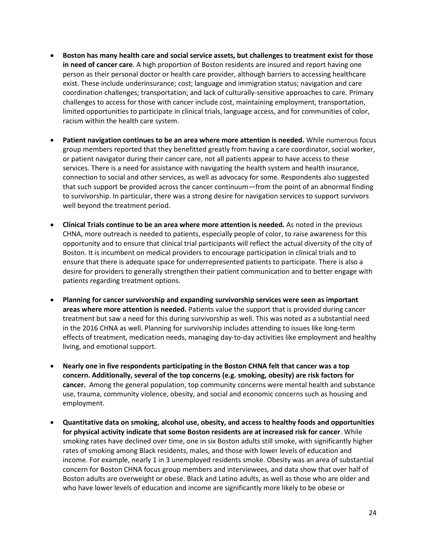- **Boston has many health care and social service assets, but challenges to treatment exist for those in need of cancer care**. A high proportion of Boston residents are insured and report having one person as their personal doctor or health care provider, although barriers to accessing healthcare exist. These include underinsurance; cost; language and immigration status; navigation and care coordination challenges; transportation; and lack of culturally-sensitive approaches to care. Primary challenges to access for those with cancer include cost, maintaining employment, transportation, limited opportunities to participate in clinical trials, language access, and for communities of color, racism within the health care system.
- **Patient navigation continues to be an area where more attention is needed.** While numerous focus group members reported that they benefitted greatly from having a care coordinator, social worker, or patient navigator during their cancer care, not all patients appear to have access to these services. There is a need for assistance with navigating the health system and health insurance, connection to social and other services, as well as advocacy for some. Respondents also suggested that such support be provided across the cancer continuum—from the point of an abnormal finding to survivorship. In particular, there was a strong desire for navigation services to support survivors well beyond the treatment period.
- **Clinical Trials continue to be an area where more attention is needed.** As noted in the previous CHNA, more outreach is needed to patients, especially people of color, to raise awareness for this opportunity and to ensure that clinical trial participants will reflect the actual diversity of the city of Boston. It is incumbent on medical providers to encourage participation in clinical trials and to ensure that there is adequate space for underrepresented patients to participate. There is also a desire for providers to generally strengthen their patient communication and to better engage with patients regarding treatment options.
- **Planning for cancer survivorship and expanding survivorship services were seen as important areas where more attention is needed.** Patients value the support that is provided during cancer treatment but saw a need for this during survivorship as well. This was noted as a substantial need in the 2016 CHNA as well. Planning for survivorship includes attending to issues like long-term effects of treatment, medication needs, managing day-to-day activities like employment and healthy living, and emotional support.
- **Nearly one in five respondents participating in the Boston CHNA felt that cancer was a top concern. Additionally, several of the top concerns (e.g. smoking, obesity) are risk factors for cancer.** Among the general population, top community concerns were mental health and substance use, trauma, community violence, obesity, and social and economic concerns such as housing and employment.
- **Quantitative data on smoking, alcohol use, obesity, and access to healthy foods and opportunities for physical activity indicate that some Boston residents are at increased risk for cancer**. While smoking rates have declined over time, one in six Boston adults still smoke, with significantly higher rates of smoking among Black residents, males, and those with lower levels of education and income. For example, nearly 1 in 3 unemployed residents smoke. Obesity was an area of substantial concern for Boston CHNA focus group members and interviewees, and data show that over half of Boston adults are overweight or obese. Black and Latino adults, as well as those who are older and who have lower levels of education and income are significantly more likely to be obese or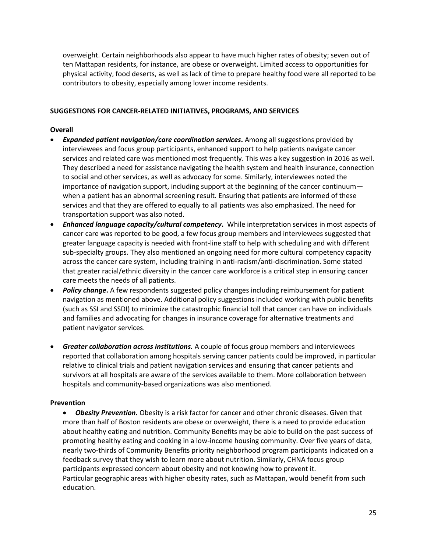overweight. Certain neighborhoods also appear to have much higher rates of obesity; seven out of ten Mattapan residents, for instance, are obese or overweight. Limited access to opportunities for physical activity, food deserts, as well as lack of time to prepare healthy food were all reported to be contributors to obesity, especially among lower income residents.

# **SUGGESTIONS FOR CANCER-RELATED INITIATIVES, PROGRAMS, AND SERVICES**

# **Overall**

- *Expanded patient navigation/care coordination services***.** Among all suggestions provided by interviewees and focus group participants, enhanced support to help patients navigate cancer services and related care was mentioned most frequently. This was a key suggestion in 2016 as well. They described a need for assistance navigating the health system and health insurance, connection to social and other services, as well as advocacy for some. Similarly, interviewees noted the importance of navigation support, including support at the beginning of the cancer continuum when a patient has an abnormal screening result. Ensuring that patients are informed of these services and that they are offered to equally to all patients was also emphasized. The need for transportation support was also noted.
- *Enhanced language capacity/cultural competency***.** While interpretation services in most aspects of cancer care was reported to be good, a few focus group members and interviewees suggested that greater language capacity is needed with front-line staff to help with scheduling and with different sub-specialty groups. They also mentioned an ongoing need for more cultural competency capacity across the cancer care system, including training in anti-racism/anti-discrimination. Some stated that greater racial/ethnic diversity in the cancer care workforce is a critical step in ensuring cancer care meets the needs of all patients.
- *Policy change***.** A few respondents suggested policy changes including reimbursement for patient navigation as mentioned above. Additional policy suggestions included working with public benefits (such as SSI and SSDI) to minimize the catastrophic financial toll that cancer can have on individuals and families and advocating for changes in insurance coverage for alternative treatments and patient navigator services.
- *Greater collaboration across institutions.* A couple of focus group members and interviewees reported that collaboration among hospitals serving cancer patients could be improved, in particular relative to clinical trials and patient navigation services and ensuring that cancer patients and survivors at all hospitals are aware of the services available to them. More collaboration between hospitals and community-based organizations was also mentioned.

### **Prevention**

• *Obesity Prevention.* Obesity is a risk factor for cancer and other chronic diseases. Given that more than half of Boston residents are obese or overweight, there is a need to provide education about healthy eating and nutrition. Community Benefits may be able to build on the past success of promoting healthy eating and cooking in a low-income housing community. Over five years of data, nearly two-thirds of Community Benefits priority neighborhood program participants indicated on a feedback survey that they wish to learn more about nutrition. Similarly, CHNA focus group participants expressed concern about obesity and not knowing how to prevent it. Particular geographic areas with higher obesity rates, such as Mattapan, would benefit from such education.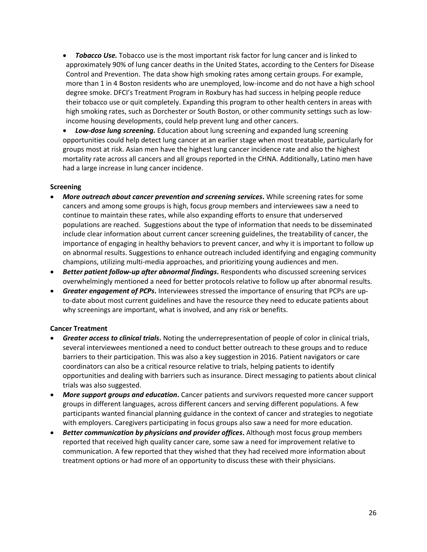• *Tobacco Use.* Tobacco use is the most important risk factor for lung cancer and is linked to approximately 90% of lung cancer deaths in the United States, according to the Centers for Disease Control and Prevention. The data show high smoking rates among certain groups. For example, more than 1 in 4 Boston residents who are unemployed, low-income and do not have a high school degree smoke. DFCI's Treatment Program in Roxbury has had success in helping people reduce their tobacco use or quit completely. Expanding this program to other health centers in areas with high smoking rates, such as Dorchester or South Boston, or other community settings such as lowincome housing developments, could help prevent lung and other cancers.

• *Low-dose lung screening.* Education about lung screening and expanded lung screening opportunities could help detect lung cancer at an earlier stage when most treatable, particularly for groups most at risk. Asian men have the highest lung cancer incidence rate and also the highest mortality rate across all cancers and all groups reported in the CHNA. Additionally, Latino men have had a large increase in lung cancer incidence.

#### **Screening**

- *More outreach about cancer prevention and screening services***.** While screening rates for some cancers and among some groups is high, focus group members and interviewees saw a need to continue to maintain these rates, while also expanding efforts to ensure that underserved populations are reached. Suggestions about the type of information that needs to be disseminated include clear information about current cancer screening guidelines, the treatability of cancer, the importance of engaging in healthy behaviors to prevent cancer, and why it is important to follow up on abnormal results. Suggestions to enhance outreach included identifying and engaging community champions, utilizing multi-media approaches, and prioritizing young audiences and men.
- *Better patient follow-up after abnormal findings***.** Respondents who discussed screening services overwhelmingly mentioned a need for better protocols relative to follow up after abnormal results.
- *Greater engagement of PCPs***.** Interviewees stressed the importance of ensuring that PCPs are upto-date about most current guidelines and have the resource they need to educate patients about why screenings are important, what is involved, and any risk or benefits.

### **Cancer Treatment**

- *Greater access to clinical trials***.** Noting the underrepresentation of people of color in clinical trials, several interviewees mentioned a need to conduct better outreach to these groups and to reduce barriers to their participation. This was also a key suggestion in 2016. Patient navigators or care coordinators can also be a critical resource relative to trials, helping patients to identify opportunities and dealing with barriers such as insurance. Direct messaging to patients about clinical trials was also suggested.
- More support groups and education. Cancer patients and survivors requested more cancer support groups in different languages, across different cancers and serving different populations. A few participants wanted financial planning guidance in the context of cancer and strategies to negotiate with employers. Caregivers participating in focus groups also saw a need for more education.
- *Better communication by physicians and provider offices***.** Although most focus group members reported that received high quality cancer care, some saw a need for improvement relative to communication. A few reported that they wished that they had received more information about treatment options or had more of an opportunity to discuss these with their physicians.